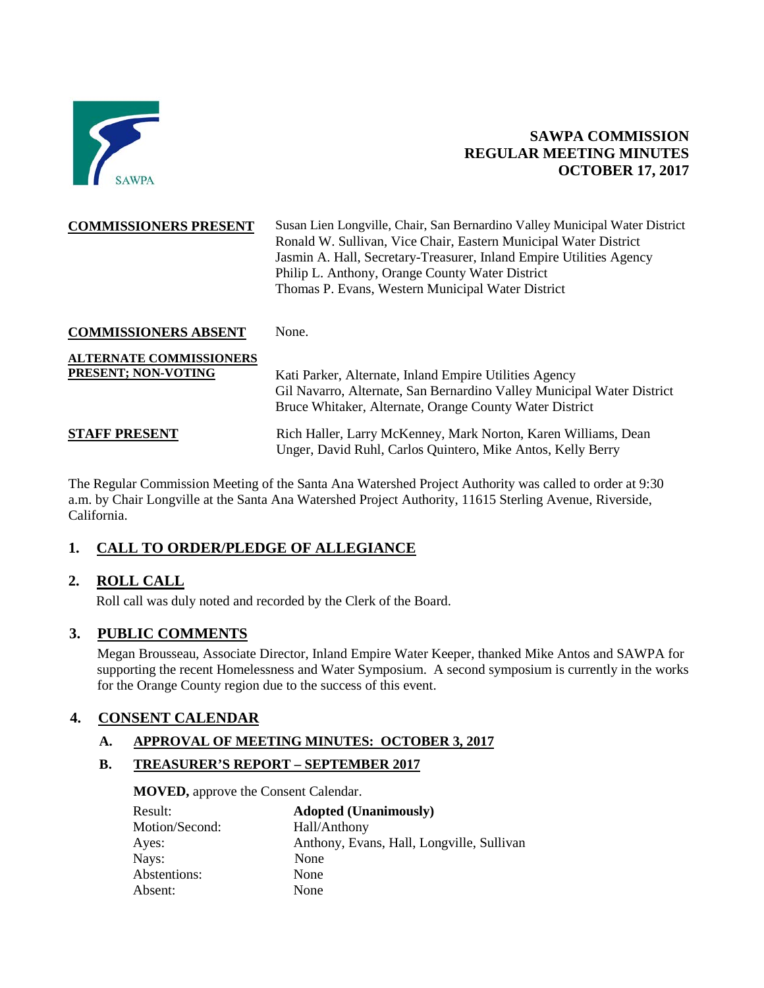

# **SAWPA COMMISSION REGULAR MEETING MINUTES OCTOBER 17, 2017**

| <b>COMMISSIONERS PRESENT</b>                          | Susan Lien Longville, Chair, San Bernardino Valley Municipal Water District<br>Ronald W. Sullivan, Vice Chair, Eastern Municipal Water District<br>Jasmin A. Hall, Secretary-Treasurer, Inland Empire Utilities Agency<br>Philip L. Anthony, Orange County Water District<br>Thomas P. Evans, Western Municipal Water District |
|-------------------------------------------------------|--------------------------------------------------------------------------------------------------------------------------------------------------------------------------------------------------------------------------------------------------------------------------------------------------------------------------------|
| <b>COMMISSIONERS ABSENT</b>                           | None.                                                                                                                                                                                                                                                                                                                          |
| <b>ALTERNATE COMMISSIONERS</b><br>PRESENT; NON-VOTING | Kati Parker, Alternate, Inland Empire Utilities Agency<br>Gil Navarro, Alternate, San Bernardino Valley Municipal Water District<br>Bruce Whitaker, Alternate, Orange County Water District                                                                                                                                    |
| <b>STAFF PRESENT</b>                                  | Rich Haller, Larry McKenney, Mark Norton, Karen Williams, Dean<br>Unger, David Ruhl, Carlos Quintero, Mike Antos, Kelly Berry                                                                                                                                                                                                  |

The Regular Commission Meeting of the Santa Ana Watershed Project Authority was called to order at 9:30 a.m. by Chair Longville at the Santa Ana Watershed Project Authority, 11615 Sterling Avenue, Riverside, California.

# **1. CALL TO ORDER/PLEDGE OF ALLEGIANCE**

# **2. ROLL CALL**

Roll call was duly noted and recorded by the Clerk of the Board.

## **3. PUBLIC COMMENTS**

Megan Brousseau, Associate Director, Inland Empire Water Keeper, thanked Mike Antos and SAWPA for supporting the recent Homelessness and Water Symposium. A second symposium is currently in the works for the Orange County region due to the success of this event.

# **4. CONSENT CALENDAR**

#### **A. APPROVAL OF MEETING MINUTES: OCTOBER 3, 2017**

**B. TREASURER'S REPORT – SEPTEMBER 2017**

**MOVED,** approve the Consent Calendar.

| Result:        | <b>Adopted (Unanimously)</b>              |
|----------------|-------------------------------------------|
| Motion/Second: | Hall/Anthony                              |
| Ayes:          | Anthony, Evans, Hall, Longville, Sullivan |
| Nays:          | None                                      |
| Abstentions:   | None                                      |
| Absent:        | None                                      |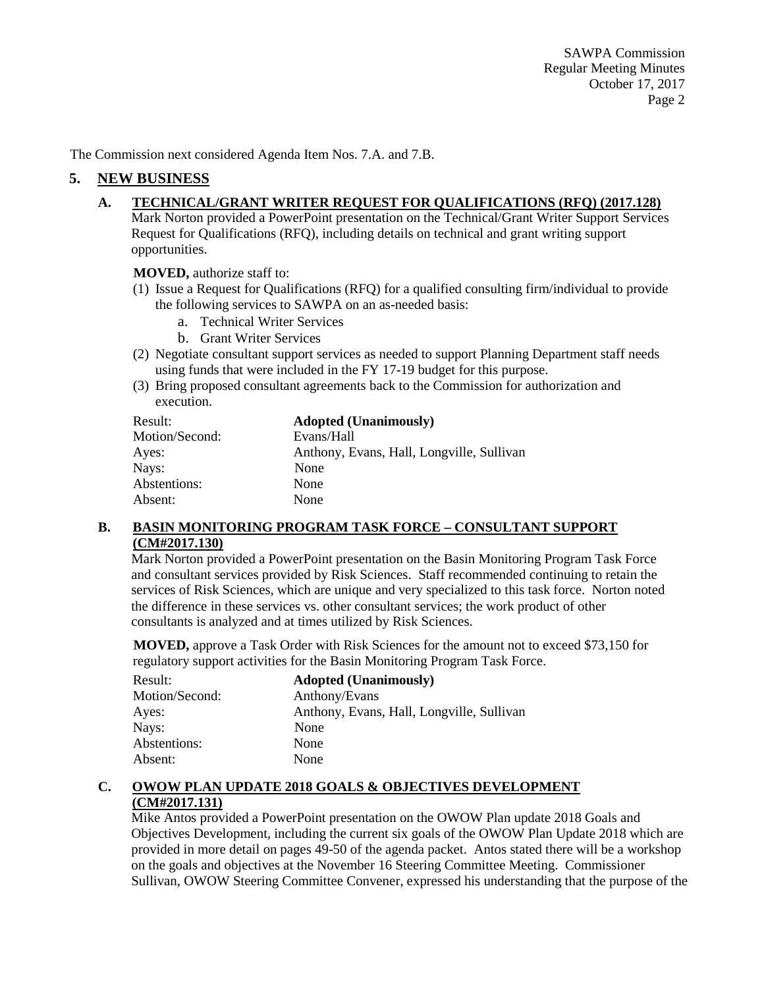The Commission next considered Agenda Item Nos. 7.A. and 7.B.

## **5. NEW BUSINESS**

#### **A. TECHNICAL/GRANT WRITER REQUEST FOR QUALIFICATIONS (RFQ) (2017.128)**

Mark Norton provided a PowerPoint presentation on the Technical/Grant Writer Support Services Request for Qualifications (RFQ), including details on technical and grant writing support opportunities.

**MOVED,** authorize staff to:

- (1) Issue a Request for Qualifications (RFQ) for a qualified consulting firm/individual to provide the following services to SAWPA on an as-needed basis:
	- a. Technical Writer Services
	- b. Grant Writer Services
- (2) Negotiate consultant support services as needed to support Planning Department staff needs using funds that were included in the FY 17-19 budget for this purpose.
- (3) Bring proposed consultant agreements back to the Commission for authorization and execution.

| Result:        | <b>Adopted (Unanimously)</b>              |
|----------------|-------------------------------------------|
| Motion/Second: | Evans/Hall                                |
| Ayes:          | Anthony, Evans, Hall, Longville, Sullivan |
| Nays:          | None                                      |
| Abstentions:   | None                                      |
| Absent:        | None                                      |

## **B. BASIN MONITORING PROGRAM TASK FORCE – CONSULTANT SUPPORT (CM#2017.130)**

Mark Norton provided a PowerPoint presentation on the Basin Monitoring Program Task Force and consultant services provided by Risk Sciences. Staff recommended continuing to retain the services of Risk Sciences, which are unique and very specialized to this task force. Norton noted the difference in these services vs. other consultant services; the work product of other consultants is analyzed and at times utilized by Risk Sciences.

**MOVED,** approve a Task Order with Risk Sciences for the amount not to exceed \$73,150 for regulatory support activities for the Basin Monitoring Program Task Force.

| Result:        | <b>Adopted (Unanimously)</b>              |
|----------------|-------------------------------------------|
| Motion/Second: | Anthony/Evans                             |
| Ayes:          | Anthony, Evans, Hall, Longville, Sullivan |
| Nays:          | None                                      |
| Abstentions:   | None                                      |
| Absent:        | None                                      |

## **C. OWOW PLAN UPDATE 2018 GOALS & OBJECTIVES DEVELOPMENT (CM#2017.131)**

Mike Antos provided a PowerPoint presentation on the OWOW Plan update 2018 Goals and Objectives Development, including the current six goals of the OWOW Plan Update 2018 which are provided in more detail on pages 49-50 of the agenda packet. Antos stated there will be a workshop on the goals and objectives at the November 16 Steering Committee Meeting. Commissioner Sullivan, OWOW Steering Committee Convener, expressed his understanding that the purpose of the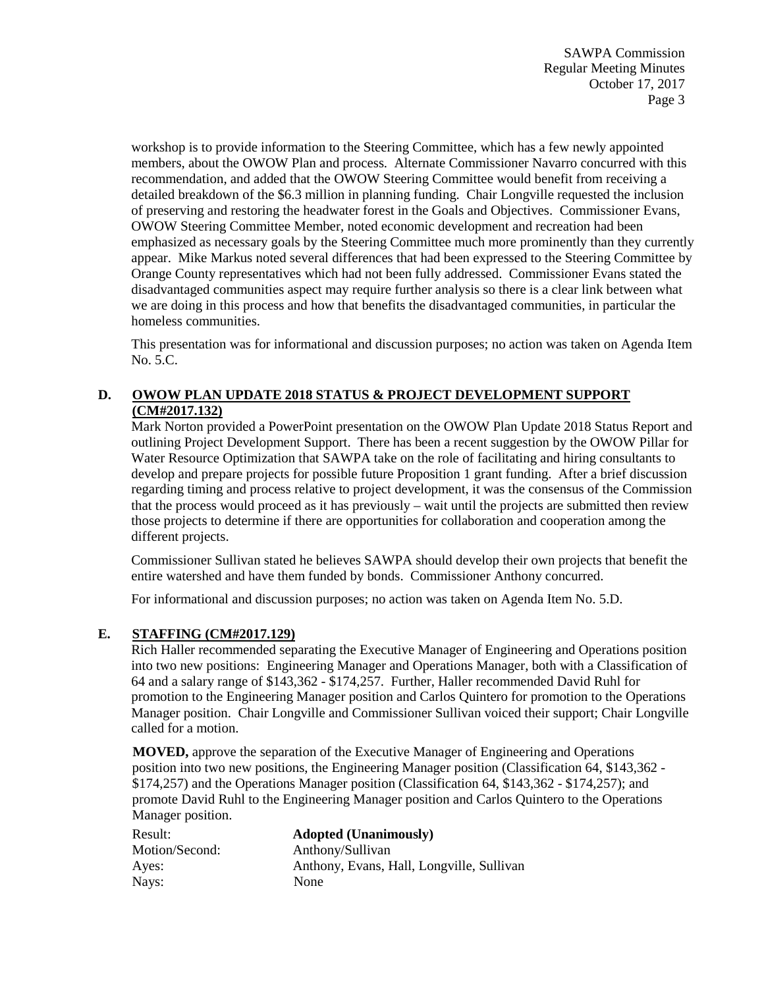SAWPA Commission Regular Meeting Minutes October 17, 2017 Page 3

workshop is to provide information to the Steering Committee, which has a few newly appointed members, about the OWOW Plan and process. Alternate Commissioner Navarro concurred with this recommendation, and added that the OWOW Steering Committee would benefit from receiving a detailed breakdown of the \$6.3 million in planning funding. Chair Longville requested the inclusion of preserving and restoring the headwater forest in the Goals and Objectives. Commissioner Evans, OWOW Steering Committee Member, noted economic development and recreation had been emphasized as necessary goals by the Steering Committee much more prominently than they currently appear. Mike Markus noted several differences that had been expressed to the Steering Committee by Orange County representatives which had not been fully addressed. Commissioner Evans stated the disadvantaged communities aspect may require further analysis so there is a clear link between what we are doing in this process and how that benefits the disadvantaged communities, in particular the homeless communities.

This presentation was for informational and discussion purposes; no action was taken on Agenda Item No. 5.C.

## **D. OWOW PLAN UPDATE 2018 STATUS & PROJECT DEVELOPMENT SUPPORT (CM#2017.132)**

Mark Norton provided a PowerPoint presentation on the OWOW Plan Update 2018 Status Report and outlining Project Development Support. There has been a recent suggestion by the OWOW Pillar for Water Resource Optimization that SAWPA take on the role of facilitating and hiring consultants to develop and prepare projects for possible future Proposition 1 grant funding. After a brief discussion regarding timing and process relative to project development, it was the consensus of the Commission that the process would proceed as it has previously – wait until the projects are submitted then review those projects to determine if there are opportunities for collaboration and cooperation among the different projects.

Commissioner Sullivan stated he believes SAWPA should develop their own projects that benefit the entire watershed and have them funded by bonds. Commissioner Anthony concurred.

For informational and discussion purposes; no action was taken on Agenda Item No. 5.D.

## **E. STAFFING (CM#2017.129)**

Rich Haller recommended separating the Executive Manager of Engineering and Operations position into two new positions: Engineering Manager and Operations Manager, both with a Classification of 64 and a salary range of \$143,362 - \$174,257. Further, Haller recommended David Ruhl for promotion to the Engineering Manager position and Carlos Quintero for promotion to the Operations Manager position. Chair Longville and Commissioner Sullivan voiced their support; Chair Longville called for a motion.

**MOVED,** approve the separation of the Executive Manager of Engineering and Operations position into two new positions, the Engineering Manager position (Classification 64, \$143,362 - \$174,257) and the Operations Manager position (Classification 64, \$143,362 - \$174,257); and promote David Ruhl to the Engineering Manager position and Carlos Quintero to the Operations Manager position.

| Result:        | <b>Adopted (Unanimously)</b>              |
|----------------|-------------------------------------------|
| Motion/Second: | Anthony/Sullivan                          |
| Ayes:          | Anthony, Evans, Hall, Longville, Sullivan |
| Nays:          | None                                      |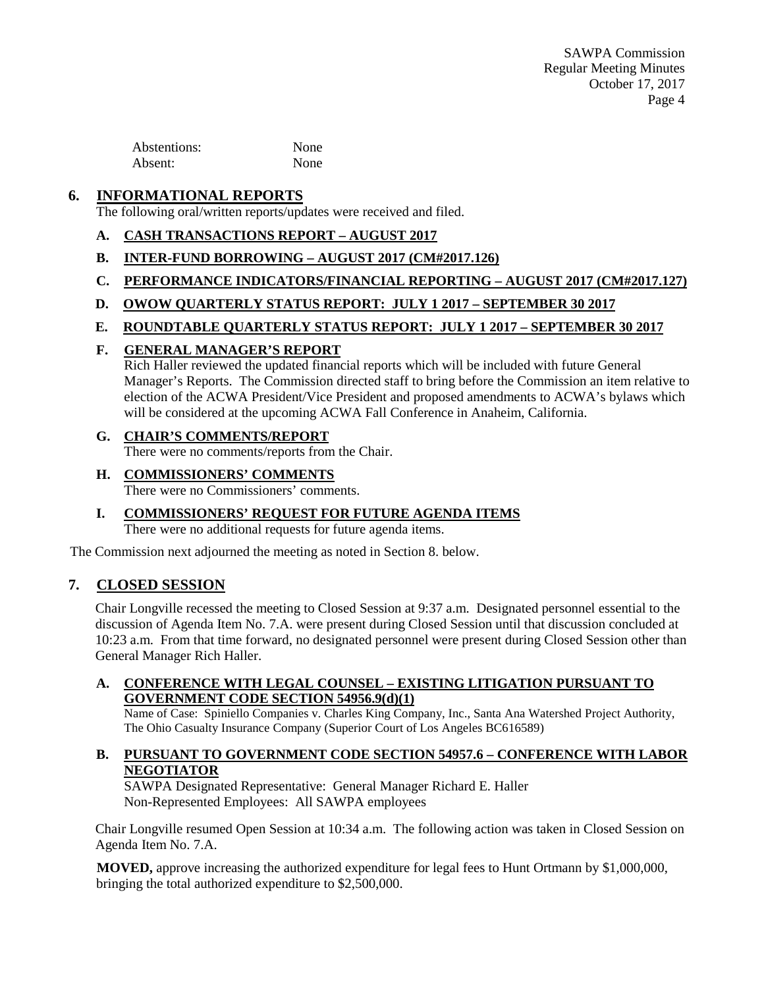SAWPA Commission Regular Meeting Minutes October 17, 2017 Page 4

Abstentions: None Absent: None

# **6. INFORMATIONAL REPORTS**

The following oral/written reports/updates were received and filed.

- **A. CASH TRANSACTIONS REPORT – AUGUST 2017**
- **B. INTER-FUND BORROWING – AUGUST 2017 (CM#2017.126)**
- **C. PERFORMANCE INDICATORS/FINANCIAL REPORTING – AUGUST 2017 (CM#2017.127)**
- **D. OWOW QUARTERLY STATUS REPORT: JULY 1 2017 – SEPTEMBER 30 2017**
- **E. ROUNDTABLE QUARTERLY STATUS REPORT: JULY 1 2017 – SEPTEMBER 30 2017**
- **F. GENERAL MANAGER'S REPORT**

Rich Haller reviewed the updated financial reports which will be included with future General Manager's Reports. The Commission directed staff to bring before the Commission an item relative to election of the ACWA President/Vice President and proposed amendments to ACWA's bylaws which will be considered at the upcoming ACWA Fall Conference in Anaheim, California.

#### **G. CHAIR'S COMMENTS/REPORT**

There were no comments/reports from the Chair.

## **H. COMMISSIONERS' COMMENTS**

There were no Commissioners' comments.

# **I. COMMISSIONERS' REQUEST FOR FUTURE AGENDA ITEMS**

There were no additional requests for future agenda items.

The Commission next adjourned the meeting as noted in Section 8. below.

## **7. CLOSED SESSION**

Chair Longville recessed the meeting to Closed Session at 9:37 a.m. Designated personnel essential to the discussion of Agenda Item No. 7.A. were present during Closed Session until that discussion concluded at 10:23 a.m. From that time forward, no designated personnel were present during Closed Session other than General Manager Rich Haller.

#### **A. CONFERENCE WITH LEGAL COUNSEL – EXISTING LITIGATION PURSUANT TO GOVERNMENT CODE SECTION 54956.9(d)(1)**

Name of Case: Spiniello Companies v. Charles King Company, Inc., Santa Ana Watershed Project Authority, The Ohio Casualty Insurance Company (Superior Court of Los Angeles BC616589)

#### **B. PURSUANT TO GOVERNMENT CODE SECTION 54957.6 – CONFERENCE WITH LABOR NEGOTIATOR**

SAWPA Designated Representative: General Manager Richard E. Haller Non-Represented Employees: All SAWPA employees

Chair Longville resumed Open Session at 10:34 a.m. The following action was taken in Closed Session on Agenda Item No. 7.A.

**MOVED,** approve increasing the authorized expenditure for legal fees to Hunt Ortmann by \$1,000,000, bringing the total authorized expenditure to \$2,500,000.